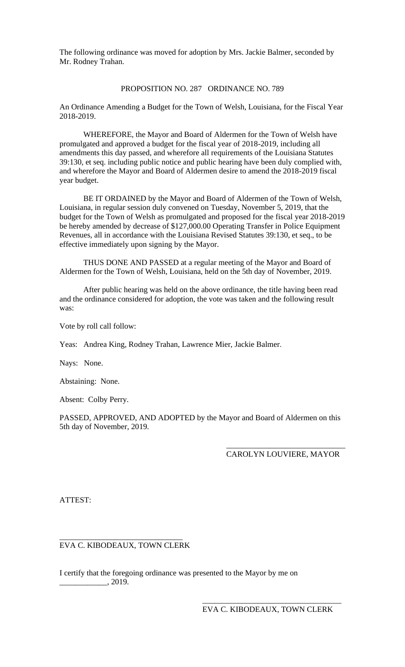The following ordinance was moved for adoption by Mrs. Jackie Balmer, seconded by Mr. Rodney Trahan.

## PROPOSITION NO. 287 ORDINANCE NO. 789

An Ordinance Amending a Budget for the Town of Welsh, Louisiana, for the Fiscal Year 2018-2019.

WHEREFORE, the Mayor and Board of Aldermen for the Town of Welsh have promulgated and approved a budget for the fiscal year of 2018-2019, including all amendments this day passed, and wherefore all requirements of the Louisiana Statutes 39:130, et seq. including public notice and public hearing have been duly complied with, and wherefore the Mayor and Board of Aldermen desire to amend the 2018-2019 fiscal year budget.

BE IT ORDAINED by the Mayor and Board of Aldermen of the Town of Welsh, Louisiana, in regular session duly convened on Tuesday, November 5, 2019, that the budget for the Town of Welsh as promulgated and proposed for the fiscal year 2018-2019 be hereby amended by decrease of \$127,000.00 Operating Transfer in Police Equipment Revenues, all in accordance with the Louisiana Revised Statutes 39:130, et seq., to be effective immediately upon signing by the Mayor.

THUS DONE AND PASSED at a regular meeting of the Mayor and Board of Aldermen for the Town of Welsh, Louisiana, held on the 5th day of November, 2019.

After public hearing was held on the above ordinance, the title having been read and the ordinance considered for adoption, the vote was taken and the following result was:

Vote by roll call follow:

Yeas: Andrea King, Rodney Trahan, Lawrence Mier, Jackie Balmer.

Nays: None.

Abstaining: None.

Absent: Colby Perry.

PASSED, APPROVED, AND ADOPTED by the Mayor and Board of Aldermen on this 5th day of November, 2019.

## \_\_\_\_\_\_\_\_\_\_\_\_\_\_\_\_\_\_\_\_\_\_\_\_\_\_\_\_\_\_ CAROLYN LOUVIERE, MAYOR

ATTEST:

## \_\_\_\_\_\_\_\_\_\_\_\_\_\_\_\_\_\_\_\_\_\_\_\_\_\_\_\_\_\_\_ EVA C. KIBODEAUX, TOWN CLERK

I certify that the foregoing ordinance was presented to the Mayor by me on  $\frac{2019}{2019}$ .